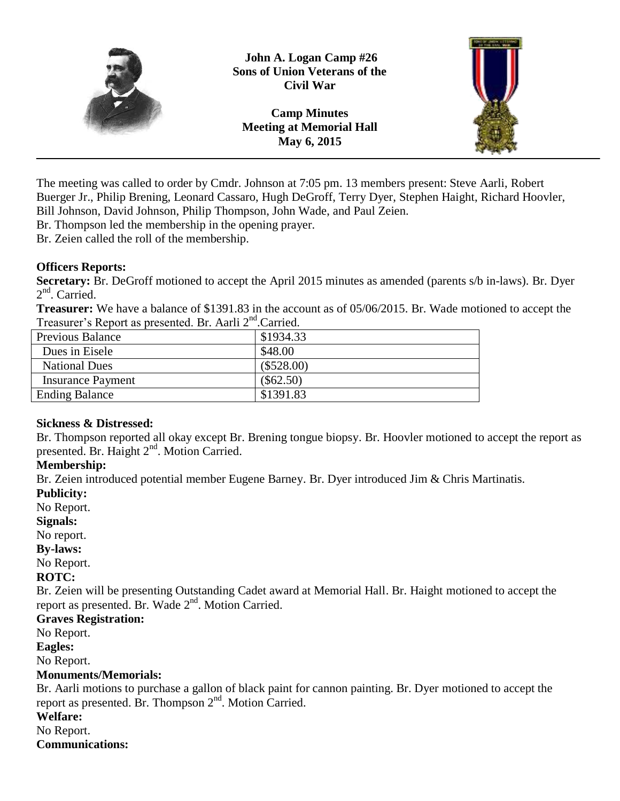

**John A. Logan Camp #26 Sons of Union Veterans of the Civil War**

**Camp Minutes Meeting at Memorial Hall May 6, 2015**



The meeting was called to order by Cmdr. Johnson at 7:05 pm. 13 members present: Steve Aarli, Robert Buerger Jr., Philip Brening, Leonard Cassaro, Hugh DeGroff, Terry Dyer, Stephen Haight, Richard Hoovler, Bill Johnson, David Johnson, Philip Thompson, John Wade, and Paul Zeien.

Br. Thompson led the membership in the opening prayer.

Br. Zeien called the roll of the membership.

## **Officers Reports:**

**Secretary:** Br. DeGroff motioned to accept the April 2015 minutes as amended (parents s/b in-laws). Br. Dyer 2<sup>nd</sup>. Carried.

**Treasurer:** We have a balance of \$1391.83 in the account as of 05/06/2015. Br. Wade motioned to accept the Treasurer's Report as presented. Br. Aarli 2<sup>nd</sup>.Carried.

| Previous Balance         | \$1934.33    |
|--------------------------|--------------|
| Dues in Eisele           | \$48.00      |
| <b>National Dues</b>     | $(\$528.00)$ |
| <b>Insurance Payment</b> | $(\$62.50)$  |
| <b>Ending Balance</b>    | \$1391.83    |
|                          |              |

# **Sickness & Distressed:**

Br. Thompson reported all okay except Br. Brening tongue biopsy. Br. Hoovler motioned to accept the report as presented. Br. Haight 2<sup>nd</sup>. Motion Carried.

# **Membership:**

Br. Zeien introduced potential member Eugene Barney. Br. Dyer introduced Jim & Chris Martinatis.

#### **Publicity:**

No Report.

**Signals:**

No report.

**By-laws:**

No Report.

#### **ROTC:**

Br. Zeien will be presenting Outstanding Cadet award at Memorial Hall. Br. Haight motioned to accept the report as presented. Br. Wade 2<sup>nd</sup>. Motion Carried.

#### **Graves Registration:**

No Report.

#### **Eagles:**

No Report.

#### **Monuments/Memorials:**

Br. Aarli motions to purchase a gallon of black paint for cannon painting. Br. Dyer motioned to accept the report as presented. Br. Thompson 2<sup>nd</sup>. Motion Carried.

#### **Welfare:**

No Report.

#### **Communications:**